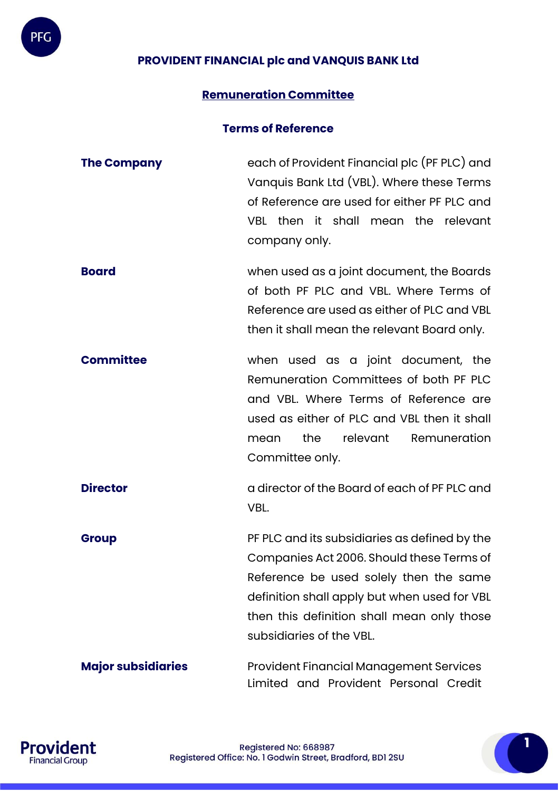# **PROVIDENT FINANCIAL plc and VANQUIS BANK Ltd**

## **Remuneration Committee**

#### **Terms of Reference**

- **The Company** each of Provident Financial plc (PF PLC) and Vanquis Bank Ltd (VBL). Where these Terms of Reference are used for either PF PLC and VBL then it shall mean the relevant company only. **Board** when used as a joint document, the Boards of both PF PLC and VBL. Where Terms of
- Reference are used as either of PLC and VBL then it shall mean the relevant Board only.
- **Committee** when used as a joint document, the Remuneration Committees of both PF PLC and VBL. Where Terms of Reference are used as either of PLC and VBL then it shall mean the relevant Remuneration Committee only.
- **Director director** of the Board of each of PF PLC and VBL.
- **Group PF PLC** and its subsidiaries as defined by the Companies Act 2006. Should these Terms of Reference be used solely then the same definition shall apply but when used for VBL then this definition shall mean only those subsidiaries of the VBL.
- **Major subsidiaries** Provident Financial Management Services Limited and Provident Personal Credit



PFG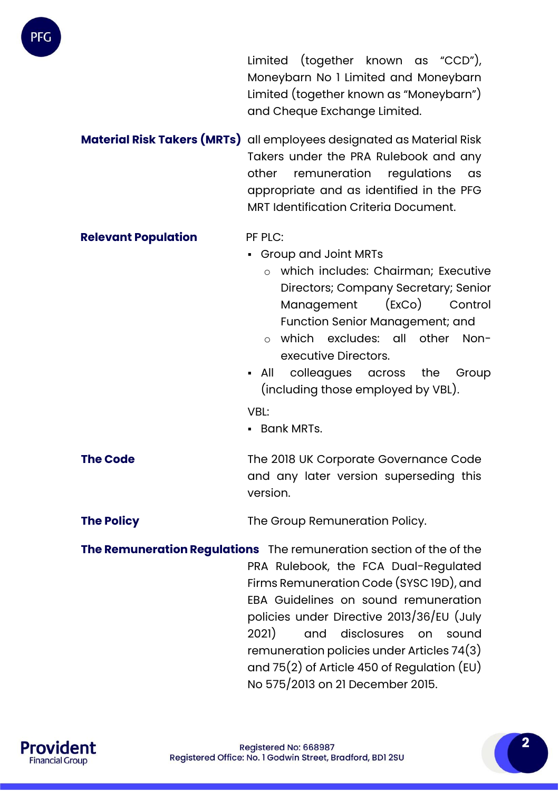

Limited (together known as "CCD"), Moneybarn No 1 Limited and Moneybarn Limited (together known as "Moneybarn") and Cheque Exchange Limited.

**Material Risk Takers (MRTs)** all employees designated as Material Risk Takers under the PRA Rulebook and any other remuneration regulations as appropriate and as identified in the PFG MRT Identification Criteria Document.

#### **Relevant Population** PF PLC:

▪ Group and Joint MRTs

- o which includes: Chairman; Executive Directors; Company Secretary; Senior Management (ExCo) Control Function Senior Management; and
- o which excludes: all other Nonexecutive Directors.
- All colleagues across the Group (including those employed by VBL).

VBL:

▪ Bank MRTs.

**The Code** The 2018 UK Corporate Governance Code and any later version superseding this version.

**The Policy** The Group Remuneration Policy.

**The Remuneration Regulations** The remuneration section of the of the PRA Rulebook, the FCA Dual-Regulated Firms Remuneration Code (SYSC 19D), and EBA Guidelines on sound remuneration policies under Directive 2013/36/EU (July 2021) and disclosures on sound remuneration policies under Articles 74(3) and 75(2) of Article 450 of Regulation (EU) No 575/2013 on 21 December 2015.

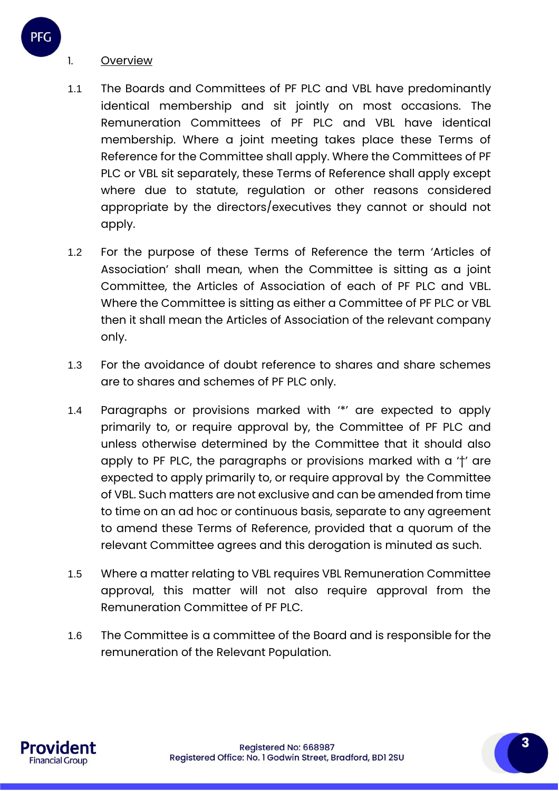### 1. Overview

- 1.1 The Boards and Committees of PF PLC and VBL have predominantly identical membership and sit jointly on most occasions. The Remuneration Committees of PF PLC and VBL have identical membership. Where a joint meeting takes place these Terms of Reference for the Committee shall apply. Where the Committees of PF PLC or VBL sit separately, these Terms of Reference shall apply except where due to statute, regulation or other reasons considered appropriate by the directors/executives they cannot or should not apply.
- 1.2 For the purpose of these Terms of Reference the term 'Articles of Association' shall mean, when the Committee is sitting as a joint Committee, the Articles of Association of each of PF PLC and VBL. Where the Committee is sitting as either a Committee of PF PLC or VBL then it shall mean the Articles of Association of the relevant company only.
- 1.3 For the avoidance of doubt reference to shares and share schemes are to shares and schemes of PF PLC only.
- 1.4 Paragraphs or provisions marked with '\*' are expected to apply primarily to, or require approval by, the Committee of PF PLC and unless otherwise determined by the Committee that it should also apply to PF PLC, the paragraphs or provisions marked with a '†' are expected to apply primarily to, or require approval by the Committee of VBL. Such matters are not exclusive and can be amended from time to time on an ad hoc or continuous basis, separate to any agreement to amend these Terms of Reference, provided that a quorum of the relevant Committee agrees and this derogation is minuted as such.
- 1.5 Where a matter relating to VBL requires VBL Remuneration Committee approval, this matter will not also require approval from the Remuneration Committee of PF PLC.
- 1.6 The Committee is a committee of the Board and is responsible for the remuneration of the Relevant Population.

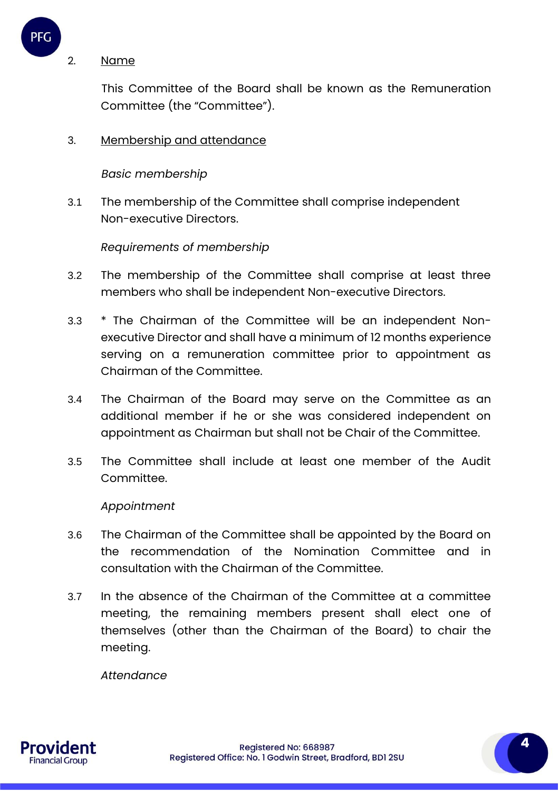

#### 2. Name

This Committee of the Board shall be known as the Remuneration Committee (the "Committee").

## 3. Membership and attendance

### *Basic membership*

3.1 The membership of the Committee shall comprise independent Non-executive Directors.

## *Requirements of membership*

- 3.2 The membership of the Committee shall comprise at least three members who shall be independent Non-executive Directors.
- 3.3 \* The Chairman of the Committee will be an independent Nonexecutive Director and shall have a minimum of 12 months experience serving on a remuneration committee prior to appointment as Chairman of the Committee.
- 3.4 The Chairman of the Board may serve on the Committee as an additional member if he or she was considered independent on appointment as Chairman but shall not be Chair of the Committee.
- 3.5 The Committee shall include at least one member of the Audit Committee.

#### *Appointment*

- 3.6 The Chairman of the Committee shall be appointed by the Board on the recommendation of the Nomination Committee and in consultation with the Chairman of the Committee.
- 3.7 In the absence of the Chairman of the Committee at a committee meeting, the remaining members present shall elect one of themselves (other than the Chairman of the Board) to chair the meeting.

*Attendance*

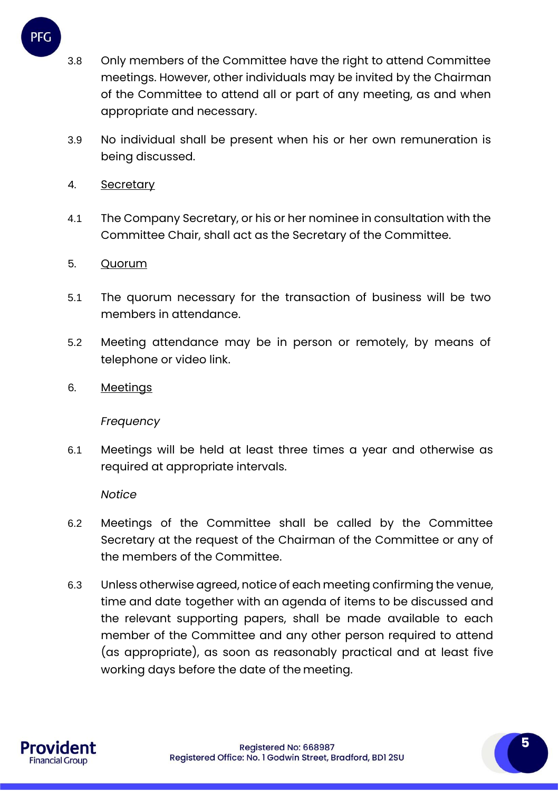- 3.8 Only members of the Committee have the right to attend Committee meetings. However, other individuals may be invited by the Chairman of the Committee to attend all or part of any meeting, as and when appropriate and necessary.
- 3.9 No individual shall be present when his or her own remuneration is being discussed.
- 4. Secretary

PFG

- 4.1 The Company Secretary, or his or her nominee in consultation with the Committee Chair, shall act as the Secretary of the Committee.
- 5. Quorum
- 5.1 The quorum necessary for the transaction of business will be two members in attendance.
- 5.2 Meeting attendance may be in person or remotely, by means of telephone or video link.
- 6. Meetings

#### *Frequency*

6.1 Meetings will be held at least three times a year and otherwise as required at appropriate intervals.

*Notice*

- 6.2 Meetings of the Committee shall be called by the Committee Secretary at the request of the Chairman of the Committee or any of the members of the Committee.
- 6.3 Unless otherwise agreed, notice of each meeting confirming the venue, time and date together with an agenda of items to be discussed and the relevant supporting papers, shall be made available to each member of the Committee and any other person required to attend (as appropriate), as soon as reasonably practical and at least five working days before the date of the meeting.

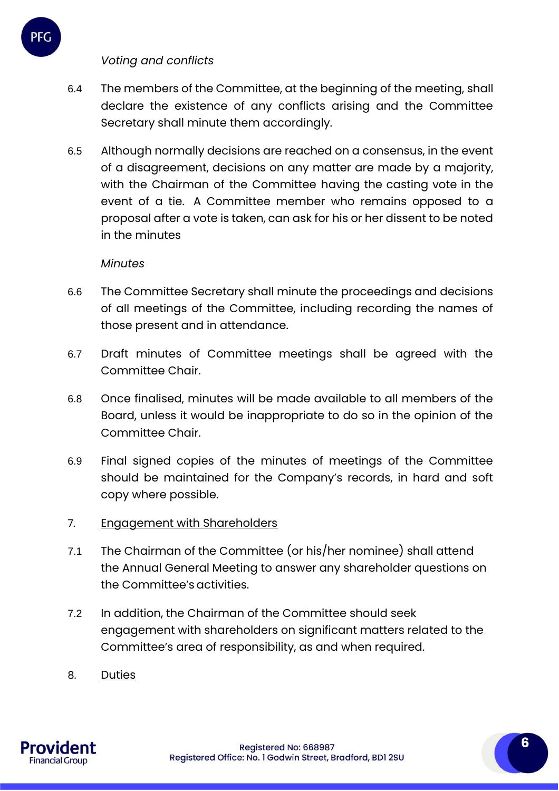# *Voting and conflicts*

PFC

- 6.4 The members of the Committee, at the beginning of the meeting, shall declare the existence of any conflicts arising and the Committee Secretary shall minute them accordingly.
- 6.5 Although normally decisions are reached on a consensus, in the event of a disagreement, decisions on any matter are made by a majority, with the Chairman of the Committee having the casting vote in the event of a tie. A Committee member who remains opposed to a proposal after a vote is taken, can ask for his or her dissent to be noted in the minutes

## *Minutes*

- 6.6 The Committee Secretary shall minute the proceedings and decisions of all meetings of the Committee, including recording the names of those present and in attendance.
- 6.7 Draft minutes of Committee meetings shall be agreed with the Committee Chair.
- 6.8 Once finalised, minutes will be made available to all members of the Board, unless it would be inappropriate to do so in the opinion of the Committee Chair.
- 6.9 Final signed copies of the minutes of meetings of the Committee should be maintained for the Company's records, in hard and soft copy where possible.
- 7. Engagement with Shareholders
- 7.1 The Chairman of the Committee (or his/her nominee) shall attend the Annual General Meeting to answer any shareholder questions on the Committee's activities.
- 7.2 In addition, the Chairman of the Committee should seek engagement with shareholders on significant matters related to the Committee's area of responsibility, as and when required.
- 8. Duties

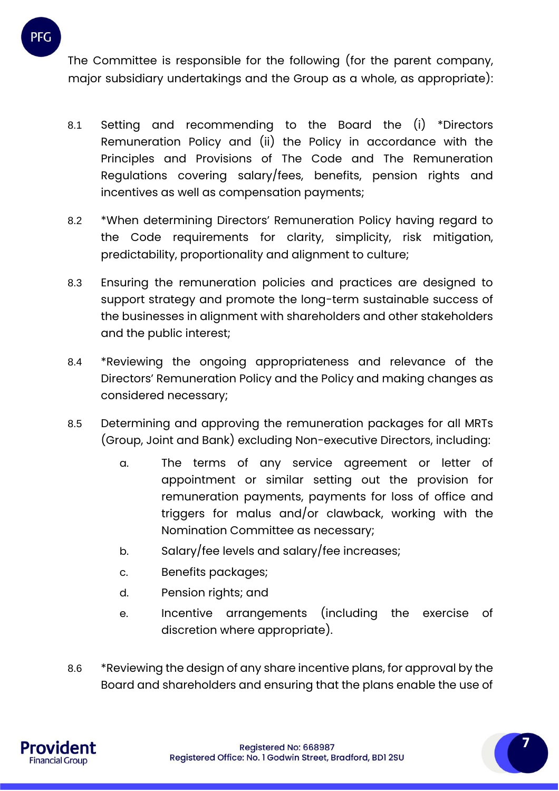

- 8.1 Setting and recommending to the Board the (i) \*Directors Remuneration Policy and (ii) the Policy in accordance with the Principles and Provisions of The Code and The Remuneration Regulations covering salary/fees, benefits, pension rights and incentives as well as compensation payments;
- 8.2 \*When determining Directors' Remuneration Policy having regard to the Code requirements for clarity, simplicity, risk mitigation, predictability, proportionality and alignment to culture;
- 8.3 Ensuring the remuneration policies and practices are designed to support strategy and promote the long-term sustainable success of the businesses in alignment with shareholders and other stakeholders and the public interest;
- 8.4 \*Reviewing the ongoing appropriateness and relevance of the Directors' Remuneration Policy and the Policy and making changes as considered necessary;
- 8.5 Determining and approving the remuneration packages for all MRTs (Group, Joint and Bank) excluding Non-executive Directors, including:
	- a. The terms of any service agreement or letter of appointment or similar setting out the provision for remuneration payments, payments for loss of office and triggers for malus and/or clawback, working with the Nomination Committee as necessary;
	- b. Salary/fee levels and salary/fee increases;
	- c. Benefits packages;
	- d. Pension rights; and
	- e. Incentive arrangements (including the exercise of discretion where appropriate).
- 8.6 \*Reviewing the design of any share incentive plans, for approval by the Board and shareholders and ensuring that the plans enable the use of



**7**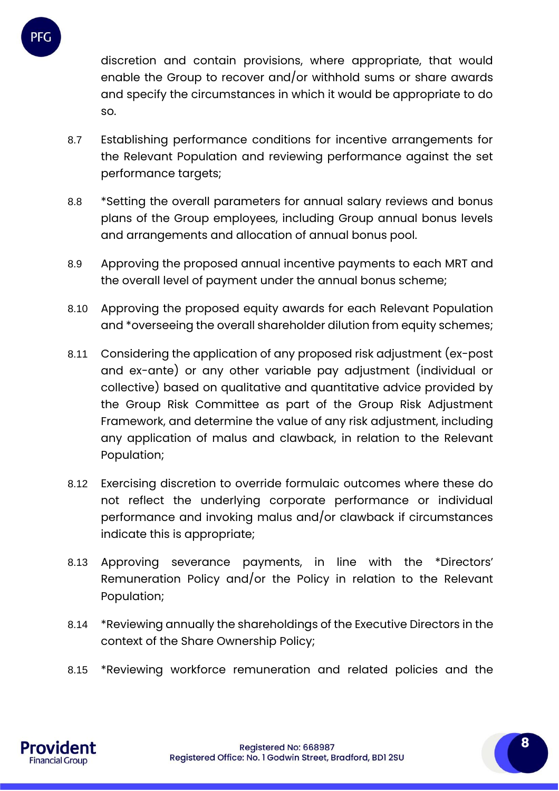

discretion and contain provisions, where appropriate, that would enable the Group to recover and/or withhold sums or share awards and specify the circumstances in which it would be appropriate to do so.

- 8.7 Establishing performance conditions for incentive arrangements for the Relevant Population and reviewing performance against the set performance targets;
- 8.8 \*Setting the overall parameters for annual salary reviews and bonus plans of the Group employees, including Group annual bonus levels and arrangements and allocation of annual bonus pool.
- 8.9 Approving the proposed annual incentive payments to each MRT and the overall level of payment under the annual bonus scheme;
- 8.10 Approving the proposed equity awards for each Relevant Population and \*overseeing the overall shareholder dilution from equity schemes;
- 8.11 Considering the application of any proposed risk adjustment (ex-post and ex-ante) or any other variable pay adjustment (individual or collective) based on qualitative and quantitative advice provided by the Group Risk Committee as part of the Group Risk Adjustment Framework, and determine the value of any risk adjustment, including any application of malus and clawback, in relation to the Relevant Population;
- 8.12 Exercising discretion to override formulaic outcomes where these do not reflect the underlying corporate performance or individual performance and invoking malus and/or clawback if circumstances indicate this is appropriate;
- 8.13 Approving severance payments, in line with the \*Directors' Remuneration Policy and/or the Policy in relation to the Relevant Population;
- 8.14 \*Reviewing annually the shareholdings of the Executive Directors in the context of the Share Ownership Policy;
- 8.15 \*Reviewing workforce remuneration and related policies and the

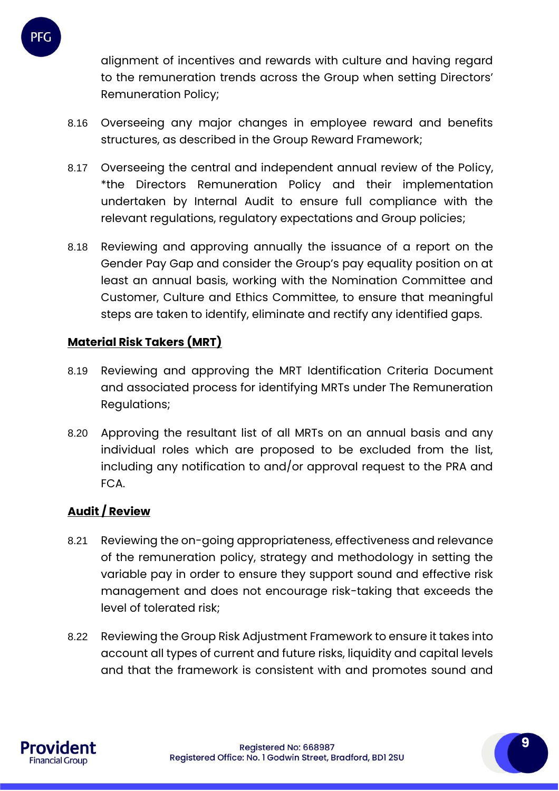

alignment of incentives and rewards with culture and having regard to the remuneration trends across the Group when setting Directors' Remuneration Policy;

- 8.16 Overseeing any major changes in employee reward and benefits structures, as described in the Group Reward Framework;
- 8.17 Overseeing the central and independent annual review of the Policy, \*the Directors Remuneration Policy and their implementation undertaken by Internal Audit to ensure full compliance with the relevant regulations, regulatory expectations and Group policies;
- 8.18 Reviewing and approving annually the issuance of a report on the Gender Pay Gap and consider the Group's pay equality position on at least an annual basis, working with the Nomination Committee and Customer, Culture and Ethics Committee, to ensure that meaningful steps are taken to identify, eliminate and rectify any identified gaps.

## **Material Risk Takers (MRT)**

- 8.19 Reviewing and approving the MRT Identification Criteria Document and associated process for identifying MRTs under The Remuneration Regulations;
- 8.20 Approving the resultant list of all MRTs on an annual basis and any individual roles which are proposed to be excluded from the list, including any notification to and/or approval request to the PRA and FCA.

## **Audit / Review**

- 8.21 Reviewing the on-going appropriateness, effectiveness and relevance of the remuneration policy, strategy and methodology in setting the variable pay in order to ensure they support sound and effective risk management and does not encourage risk-taking that exceeds the level of tolerated risk;
- 8.22 Reviewing the Group Risk Adjustment Framework to ensure it takes into account all types of current and future risks, liquidity and capital levels and that the framework is consistent with and promotes sound and

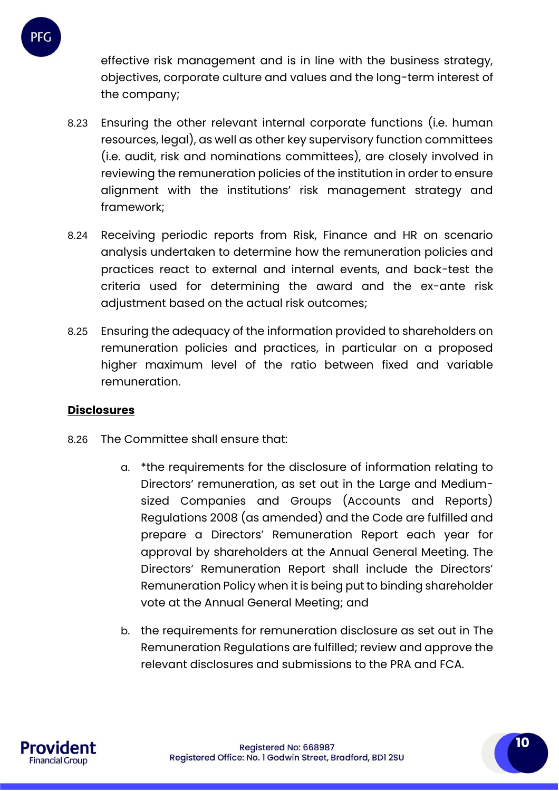

effective risk management and is in line with the business strategy, objectives, corporate culture and values and the long-term interest of the company;

- 8.23 Ensuring the other relevant internal corporate functions (i.e. human resources, legal), as well as other key supervisory function committees (i.e. audit, risk and nominations committees), are closely involved in reviewing the remuneration policies of the institution in order to ensure alignment with the institutions' risk management strategy and framework;
- 8.24 Receiving periodic reports from Risk, Finance and HR on scenario analysis undertaken to determine how the remuneration policies and practices react to external and internal events, and back-test the criteria used for determining the award and the ex-ante risk adjustment based on the actual risk outcomes;
- 8.25 Ensuring the adequacy of the information provided to shareholders on remuneration policies and practices, in particular on a proposed higher maximum level of the ratio between fixed and variable remuneration.

## **Disclosures**

- 8.26 The Committee shall ensure that:
	- a. \*the requirements for the disclosure of information relating to Directors' remuneration, as set out in the Large and Mediumsized Companies and Groups (Accounts and Reports) Regulations 2008 (as amended) and the Code are fulfilled and prepare a Directors' Remuneration Report each year for approval by shareholders at the Annual General Meeting. The Directors' Remuneration Report shall include the Directors' Remuneration Policy when it is being put to binding shareholder vote at the Annual General Meeting; and
	- b. the requirements for remuneration disclosure as set out in The Remuneration Regulations are fulfilled; review and approve the relevant disclosures and submissions to the PRA and FCA.

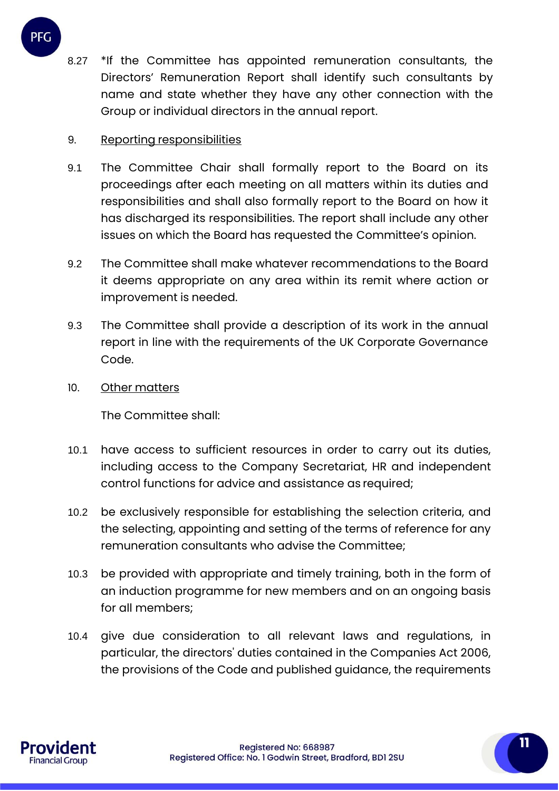

8.27 \*If the Committee has appointed remuneration consultants, the Directors' Remuneration Report shall identify such consultants by name and state whether they have any other connection with the Group or individual directors in the annual report.

## 9. Reporting responsibilities

- 9.1 The Committee Chair shall formally report to the Board on its proceedings after each meeting on all matters within its duties and responsibilities and shall also formally report to the Board on how it has discharged its responsibilities. The report shall include any other issues on which the Board has requested the Committee's opinion.
- 9.2 The Committee shall make whatever recommendations to the Board it deems appropriate on any area within its remit where action or improvement is needed.
- 9.3 The Committee shall provide a description of its work in the annual report in line with the requirements of the UK Corporate Governance Code.
- 10. Other matters

The Committee shall:

- 10.1 have access to sufficient resources in order to carry out its duties, including access to the Company Secretariat, HR and independent control functions for advice and assistance as required;
- 10.2 be exclusively responsible for establishing the selection criteria, and the selecting, appointing and setting of the terms of reference for any remuneration consultants who advise the Committee;
- 10.3 be provided with appropriate and timely training, both in the form of an induction programme for new members and on an ongoing basis for all members;
- 10.4 give due consideration to all relevant laws and regulations, in particular, the directors' duties contained in the Companies Act 2006, the provisions of the Code and published guidance, the requirements

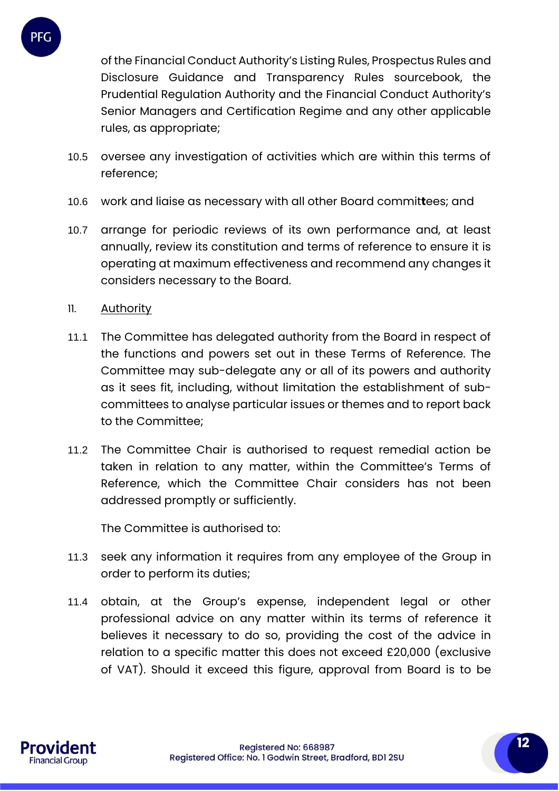

of the Financial Conduct Authority's Listing Rules, Prospectus Rules and Disclosure Guidance and Transparency Rules sourcebook, the Prudential Regulation Authority and the Financial Conduct Authority's Senior Managers and Certification Regime and any other applicable rules, as appropriate;

- 10.5 oversee any investigation of activities which are within this terms of reference;
- 10.6 work and liaise as necessary with all other Board commit**t**ees; and
- 10.7 arrange for periodic reviews of its own performance and, at least annually, review its constitution and terms of reference to ensure it is operating at maximum effectiveness and recommend any changes it considers necessary to the Board.
- 11. Authority
- 11.1 The Committee has delegated authority from the Board in respect of the functions and powers set out in these Terms of Reference. The Committee may sub-delegate any or all of its powers and authority as it sees fit, including, without limitation the establishment of subcommittees to analyse particular issues or themes and to report back to the Committee;
- 11.2 The Committee Chair is authorised to request remedial action be taken in relation to any matter, within the Committee's Terms of Reference, which the Committee Chair considers has not been addressed promptly or sufficiently.

The Committee is authorised to:

- 11.3 seek any information it requires from any employee of the Group in order to perform its duties;
- 11.4 obtain, at the Group's expense, independent legal or other professional advice on any matter within its terms of reference it believes it necessary to do so, providing the cost of the advice in relation to a specific matter this does not exceed £20,000 (exclusive of VAT). Should it exceed this figure, approval from Board is to be

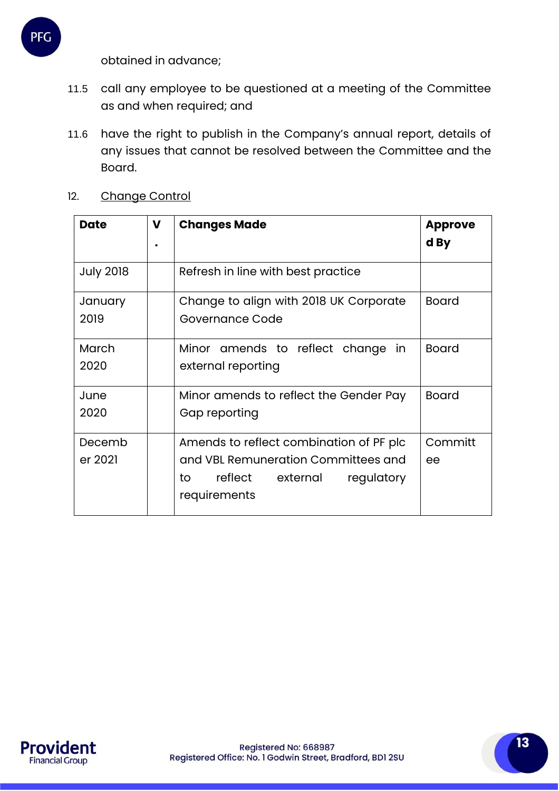

- 11.5 call any employee to be questioned at a meeting of the Committee as and when required; and
- 11.6 have the right to publish in the Company's annual report, details of any issues that cannot be resolved between the Committee and the Board.

| <b>Date</b>       | $\mathbf v$ | <b>Changes Made</b>                                                                                                                    | <b>Approve</b><br>d By |
|-------------------|-------------|----------------------------------------------------------------------------------------------------------------------------------------|------------------------|
| <b>July 2018</b>  |             | Refresh in line with best practice                                                                                                     |                        |
| January<br>2019   |             | Change to align with 2018 UK Corporate<br>Governance Code                                                                              | <b>Board</b>           |
| March<br>2020     |             | Minor amends to reflect change<br>in<br>external reporting                                                                             | <b>Board</b>           |
| June<br>2020      |             | Minor amends to reflect the Gender Pay<br>Gap reporting                                                                                | <b>Board</b>           |
| Decemb<br>er 2021 |             | Amends to reflect combination of PF plc<br>and VBL Remuneration Committees and<br>reflect external<br>to<br>regulatory<br>requirements | Committ<br>ee          |

12. Change Control

**PFG** 

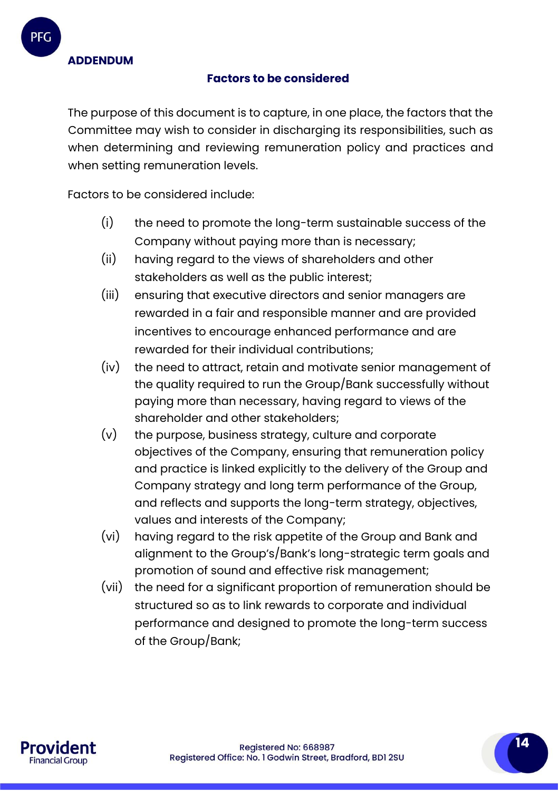**ADDENDUM**

## **Factors to be considered**

The purpose of this document is to capture, in one place, the factors that the Committee may wish to consider in discharging its responsibilities, such as when determining and reviewing remuneration policy and practices and when setting remuneration levels.

Factors to be considered include:

- (i) the need to promote the long-term sustainable success of the Company without paying more than is necessary;
- (ii) having regard to the views of shareholders and other stakeholders as well as the public interest;
- (iii) ensuring that executive directors and senior managers are rewarded in a fair and responsible manner and are provided incentives to encourage enhanced performance and are rewarded for their individual contributions;
- (iv) the need to attract, retain and motivate senior management of the quality required to run the Group/Bank successfully without paying more than necessary, having regard to views of the shareholder and other stakeholders;
- (v) the purpose, business strategy, culture and corporate objectives of the Company, ensuring that remuneration policy and practice is linked explicitly to the delivery of the Group and Company strategy and long term performance of the Group, and reflects and supports the long-term strategy, objectives, values and interests of the Company;
- (vi) having regard to the risk appetite of the Group and Bank and alignment to the Group's/Bank's long-strategic term goals and promotion of sound and effective risk management;
- (vii) the need for a significant proportion of remuneration should be structured so as to link rewards to corporate and individual performance and designed to promote the long-term success of the Group/Bank;